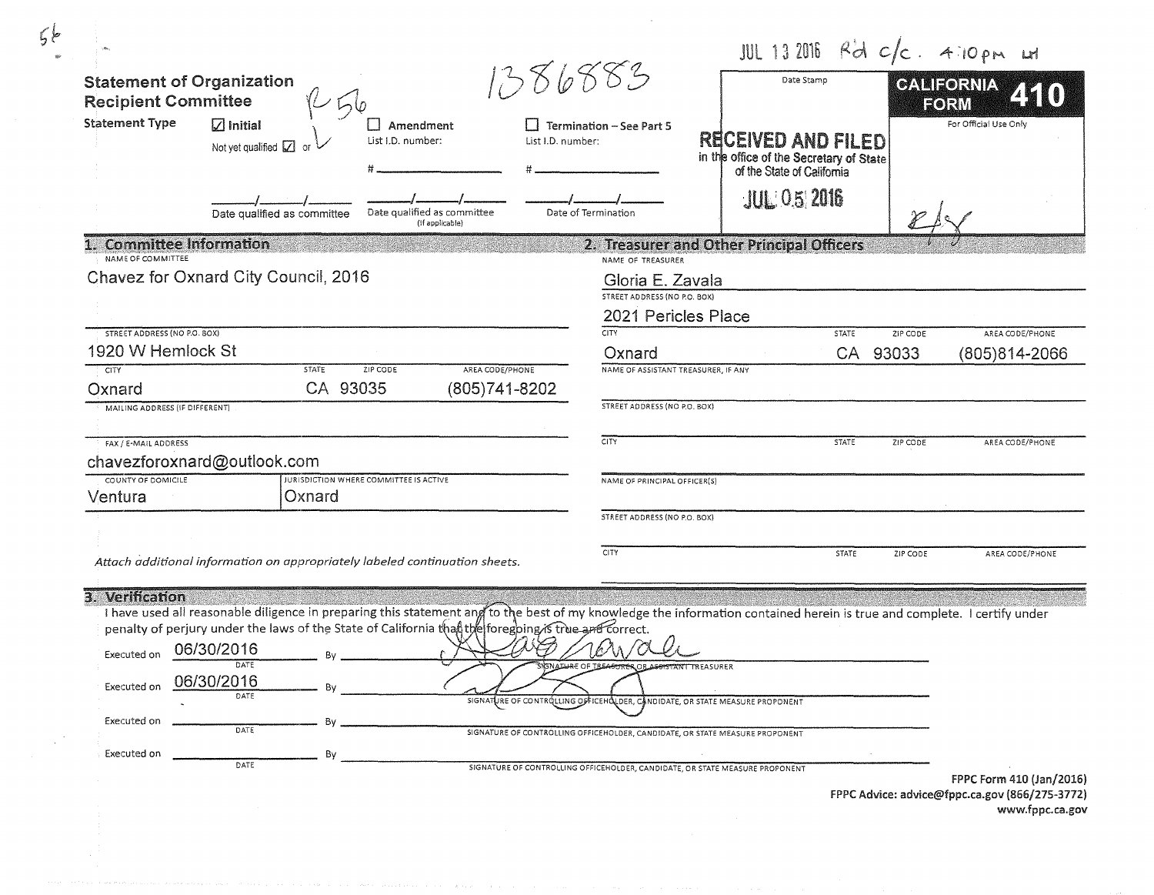| <b>Statement of Organization</b>              |                                                                                                                                                                                                                                                                                 | 1386883                                                                      | Date Stamp                                                            | JUL 13 2016 $R^2d$ $c/c$ . 4:10 pm Lt<br>CALIFORNIA |
|-----------------------------------------------|---------------------------------------------------------------------------------------------------------------------------------------------------------------------------------------------------------------------------------------------------------------------------------|------------------------------------------------------------------------------|-----------------------------------------------------------------------|-----------------------------------------------------|
| <b>Recipient Committee</b>                    | レムし                                                                                                                                                                                                                                                                             |                                                                              |                                                                       | EORM                                                |
| <b>Statement Type</b>                         | $\sqrt{ }$ Initial<br>Amendment                                                                                                                                                                                                                                                 | $\Box$ Termination – See Part 5                                              |                                                                       | For Official Use Only                               |
|                                               | List I.D. number:<br>Not yet qualified V                                                                                                                                                                                                                                        | List I.D. number:                                                            | <b>RECEIVED AND FILED</b>                                             |                                                     |
|                                               |                                                                                                                                                                                                                                                                                 |                                                                              | in the office of the Secretary of State<br>of the State of California |                                                     |
|                                               | Date qualified as committee<br>Date qualified as committee<br>(If applicable)                                                                                                                                                                                                   | Date of Termination                                                          | <b>JUL: 0.5/2016</b>                                                  |                                                     |
| 1. Committee Information<br>NAME OF COMMITTEE |                                                                                                                                                                                                                                                                                 | NAME OF TREASURER                                                            | 2. Treasurer and Other Principal Officers                             |                                                     |
|                                               | Chavez for Oxnard City Council, 2016                                                                                                                                                                                                                                            | Gloria E. Zavala                                                             |                                                                       |                                                     |
|                                               |                                                                                                                                                                                                                                                                                 | STREET ADDRESS (NO P.O. BOX)                                                 |                                                                       |                                                     |
|                                               |                                                                                                                                                                                                                                                                                 |                                                                              | 2021 Pericles Place                                                   |                                                     |
| <b>STREET ADDRESS (NO P.O. BOX)</b>           |                                                                                                                                                                                                                                                                                 | <b>CITY</b>                                                                  | <b>STATE</b>                                                          | AREA CODE/PHONE<br>ZIP CODE                         |
| 1920 W Hemlock St                             |                                                                                                                                                                                                                                                                                 | Oxnard                                                                       | CA 93033                                                              | (805)814-2066                                       |
| <b>CITY</b><br>Oxnard                         | <b>STATE</b><br>ZIP CODE<br>CA 93035                                                                                                                                                                                                                                            | AREA CODE/PHONE<br>(805) 741-8202                                            | NAME OF ASSISTANT TREASURER, IF ANY                                   |                                                     |
| MAILING ADDRESS (IF DIFFERENT)                |                                                                                                                                                                                                                                                                                 | STREET ADDRESS (NO P.O. BOX)                                                 |                                                                       |                                                     |
| FAX / E-MAIL ADDRESS                          |                                                                                                                                                                                                                                                                                 | <b>CITY</b>                                                                  | <b>STATE</b>                                                          | ZIP CODE<br>AREA CODE/PHONE                         |
| chavezforoxnard@outlook.com                   |                                                                                                                                                                                                                                                                                 |                                                                              |                                                                       |                                                     |
| COUNTY OF DOMICILE<br>Ventura                 | JURISDICTION WHERE COMMITTEE IS ACTIVE<br>Oxnard                                                                                                                                                                                                                                | NAME OF PRINCIPAL OFFICER(S)                                                 |                                                                       |                                                     |
|                                               |                                                                                                                                                                                                                                                                                 | STREET ADDRESS (NO P.O. BOX)                                                 |                                                                       |                                                     |
|                                               | Attach additional information on appropriately labeled continuation sheets.                                                                                                                                                                                                     | <b>CITY</b>                                                                  | STATE                                                                 | ZIP CODE<br>AREA CODE/PHONE                         |
|                                               |                                                                                                                                                                                                                                                                                 |                                                                              |                                                                       |                                                     |
| 3. Verification                               |                                                                                                                                                                                                                                                                                 |                                                                              |                                                                       |                                                     |
|                                               | I have used all reasonable diligence in preparing this statement and to the best of my knowledge the information contained herein is true and complete. I certify under<br>penalty of perjury under the laws of the State of California than the foregoing is true and correct. |                                                                              |                                                                       |                                                     |
|                                               | 06/30/2016                                                                                                                                                                                                                                                                      |                                                                              |                                                                       |                                                     |
| Executed on                                   | DATE                                                                                                                                                                                                                                                                            |                                                                              | REASURER                                                              |                                                     |
| Executed on                                   | 06/30/2016<br><b>Bv</b>                                                                                                                                                                                                                                                         |                                                                              |                                                                       |                                                     |
|                                               | DATE                                                                                                                                                                                                                                                                            | SIGNATURE OF CONTROLLING OFFICEHOLDER, CANDIDATE, OR STATE MEASURE PROPONENT |                                                                       |                                                     |
| Executed on                                   | Bv<br><b>DATE</b>                                                                                                                                                                                                                                                               | SIGNATURE OF CONTROLLING OFFICEHOLDER, CANDIDATE, OR STATE MEASURE PROPONENT |                                                                       |                                                     |
|                                               |                                                                                                                                                                                                                                                                                 |                                                                              |                                                                       |                                                     |
| Executed on                                   | By                                                                                                                                                                                                                                                                              |                                                                              |                                                                       |                                                     |

FPPC Advice: advice@fppc.ca.gov {866/275-3772.) www.fppc.ca.gov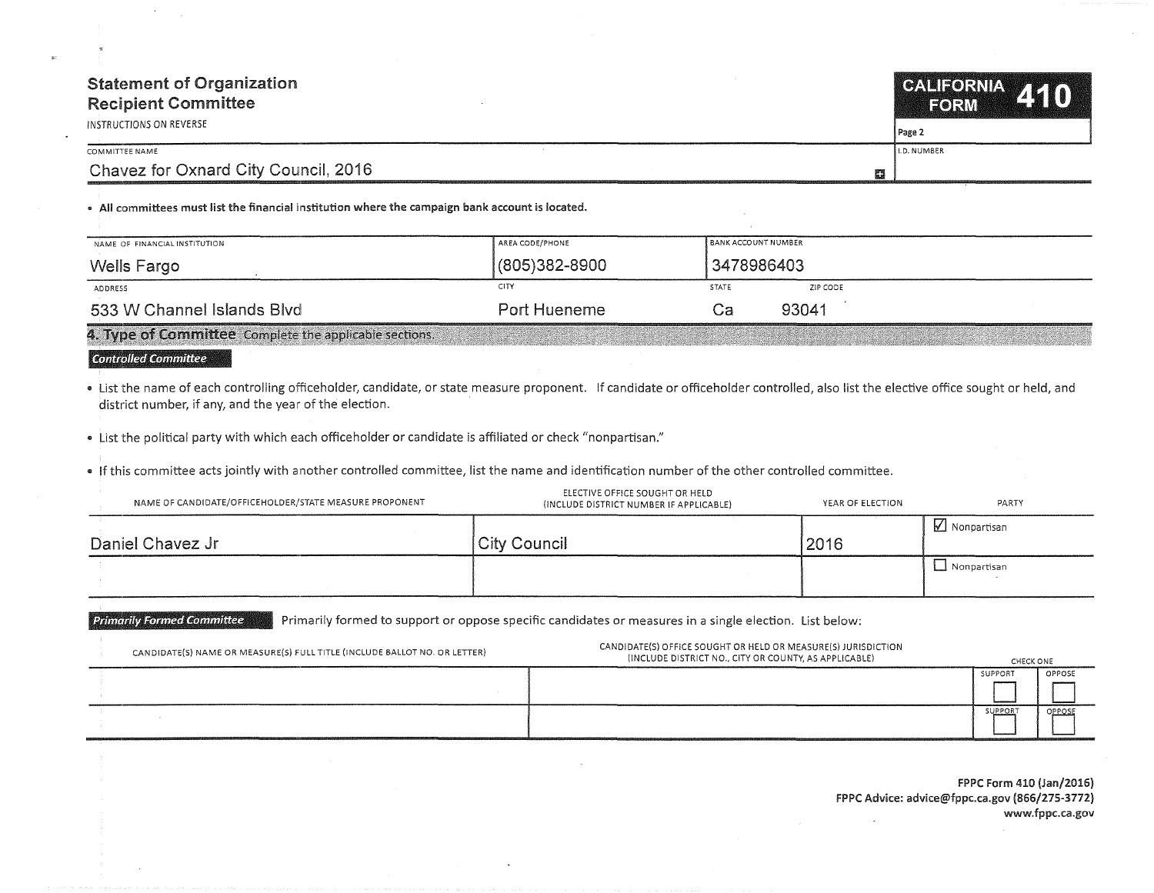| <b>Statement of Organization</b><br><b>Recipient Committee</b><br>INSTRUCTIONS ON REVERSE | CALIFORNIA 410<br>Page 2 |
|-------------------------------------------------------------------------------------------|--------------------------|
| COMMITTEE NAME                                                                            | LD, NUMBER               |
| Chavez for Oxnard City Council, 2016<br>麚                                                 |                          |

• All committees must list the financial institution where the campaign bank account is located.

| NAME OF FINANCIAL INSTITUTION                          | AREA CODE/PHONE | Î BANK ACCOUNT NUMBER    |  |
|--------------------------------------------------------|-----------------|--------------------------|--|
| Wells Fargo                                            | (805)382-8900   | 3478986403               |  |
| ADDRESS                                                | CITY            | ZIP CODE<br><b>STATE</b> |  |
| 533 W Channel Islands Blvd                             | Port Hueneme    | 93041<br>Cа              |  |
| 4. Type of Committee Complete the applicable sections. |                 |                          |  |

## **€onf!11olle€1 €Jemmit:t:ee**

. List the name of each controlling officeholder, candidate, or state measure proponent. If candidate or officeholder controlled, also list the elective office sought or held, and district number, if any, and the year of the election.

• List the political party with which each officeholder or candidate is affiliated or check "nonpartisan."

• If this committee acts jointly with another controlled committee, list the name and identification number of the other controlled committee.

| NAME OF CANDIDATE/OFFICEHOLDER/STATE MEASURE PROPONENT | ELECTIVE OFFICE SOUGHT OR HELD<br>(INCLUDE DISTRICT NUMBER IF APPLICABLE) | YEAR OF ELECTION | PARTY           |
|--------------------------------------------------------|---------------------------------------------------------------------------|------------------|-----------------|
| Daniel Chavez Jr                                       | City Council                                                              | 2016             | Monpartisan     |
|                                                        |                                                                           |                  | Lui Nonpartisan |

**Primarily Formed Committee** Primarily formed to support or oppose specific candidates or measures in a single election. List below:

| CANDIDATE(S) NAME OR MEASURE(S) FULL TITLE (INCLUDE BALLOT NO. OR LETTER) | CANDIDATE(S) OFFICE SOUGHT OR HELD OR MEASURE(S) JURISDICTION<br>(INCLUDE DISTRICT NO., CITY OR COUNTY, AS APPLICABLE) | CHECK ONE |        |
|---------------------------------------------------------------------------|------------------------------------------------------------------------------------------------------------------------|-----------|--------|
|                                                                           |                                                                                                                        | SUPPORT   | OPPOSE |
|                                                                           |                                                                                                                        |           |        |
|                                                                           |                                                                                                                        | SUPPORT   | OPPOSE |
|                                                                           |                                                                                                                        |           |        |

FPPC Form 410 (Jan/2016) FPPC Advice: advice@fppc.ca.gov (866/275-3772) www.fppc.ca.gov